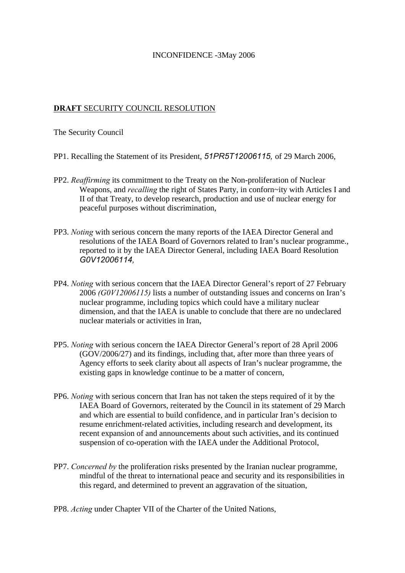## INCONFIDENCE -3May 2006

## **DRAFT** SECURITY COUNCIL RESOLUTION

The Security Council

- PP1. Recalling the Statement of its President, *51PR5T12006115,* of 29 March 2006,
- PP2. *Reaffirming* its commitment to the Treaty on the Non-proliferation of Nuclear Weapons, and *recalling* the right of States Party, in conforn~ity with Articles I and II of that Treaty, to develop research, production and use of nuclear energy for peaceful purposes without discrimination,
- PP3. *Noting* with serious concern the many reports of the IAEA Director General and resolutions of the IAEA Board of Governors related to Iran's nuclear programme., reported to it by the IAEA Director General, including IAEA Board Resolution *G0V12006114,*
- PP4. *Noting* with serious concern that the IAEA Director General's report of 27 February 2006 *(G0V12006115)* lists a number of outstanding issues and concerns on Iran's nuclear programme, including topics which could have a military nuclear dimension, and that the IAEA is unable to conclude that there are no undeclared nuclear materials or activities in Iran,
- PP5. *Noting* with serious concern the IAEA Director General's report of 28 April 2006 (GOV/2006/27) and its findings, including that, after more than three years of Agency efforts to seek clarity about all aspects of Iran's nuclear programme, the existing gaps in knowledge continue to be a matter of concern,
- PP6. *Noting* with serious concern that Iran has not taken the steps required of it by the IAEA Board of Governors, reiterated by the Council in its statement of 29 March and which are essential to build confidence, and in particular Iran's decision to resume enrichment-related activities, including research and development, its recent expansion of and announcements about such activities, and its continued suspension of co-operation with the IAEA under the Additional Protocol,
- PP7. *Concerned by* the proliferation risks presented by the Iranian nuclear programme, mindful of the threat to international peace and security and its responsibilities in this regard, and determined to prevent an aggravation of the situation,
- PP8. *Acting* under Chapter VII of the Charter of the United Nations,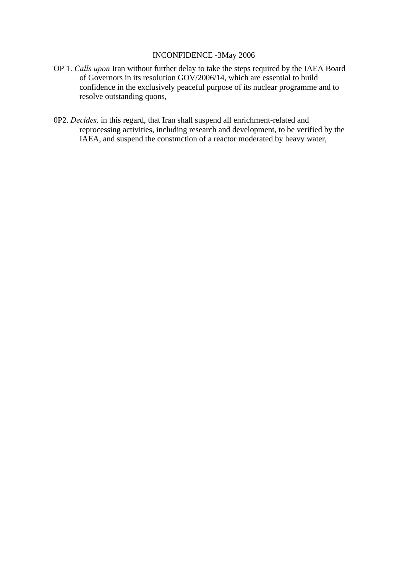## INCONFIDENCE -3May 2006

- OP 1. *Calls upon* Iran without further delay to take the steps required by the IAEA Board of Governors in its resolution GOV/2006/14, which are essential to build confidence in the exclusively peaceful purpose of its nuclear programme and to resolve outstanding quons,
- 0P2. *Decides,* in this regard, that Iran shall suspend all enrichment-related and reprocessing activities, including research and development, to be verified by the IAEA, and suspend the constmction of a reactor moderated by heavy water,